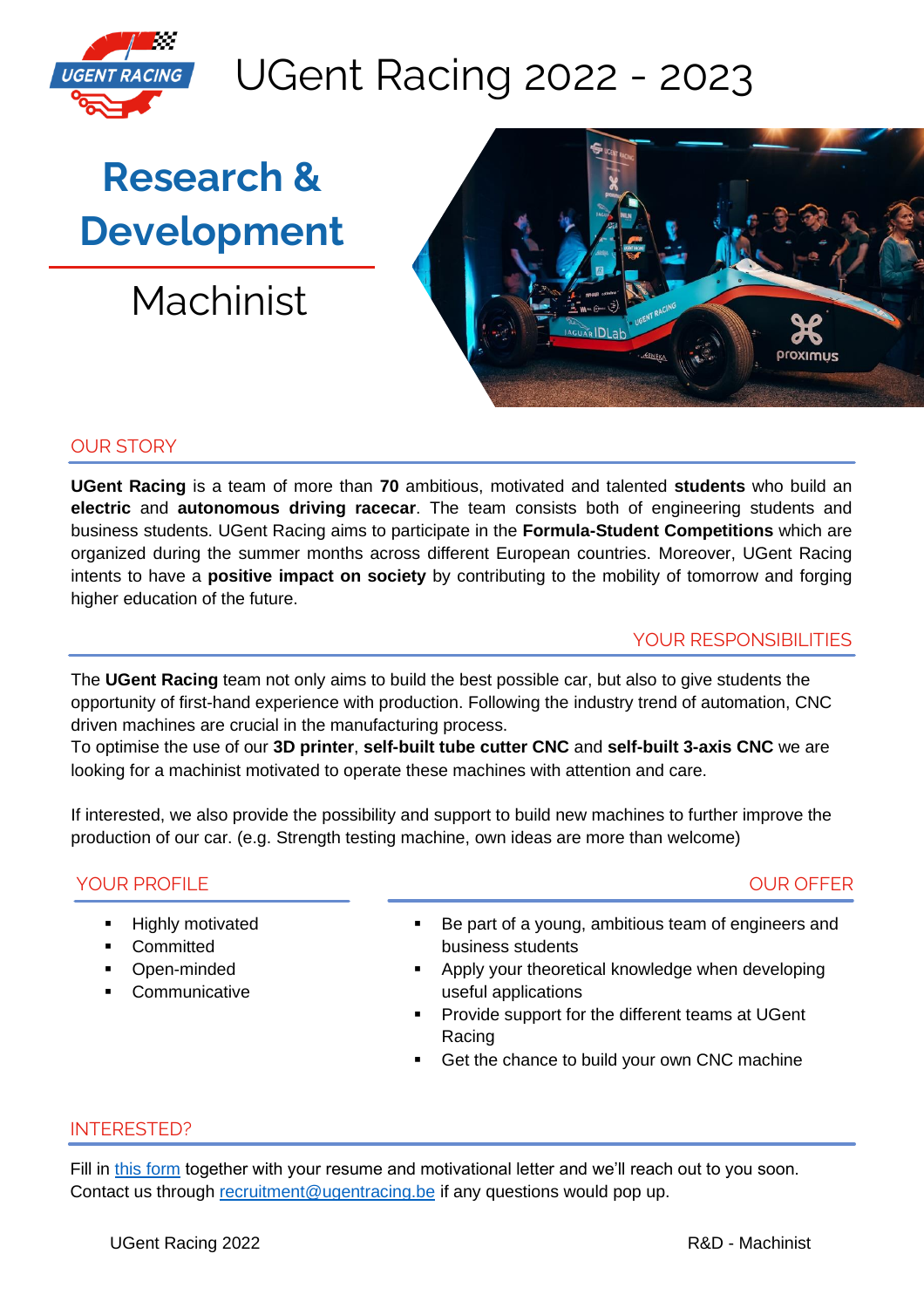

## UGent Racing 2022 - 2023

# **Research & Development**

Machinist



### OUR STORY

**UGent Racing** is a team of more than **70** ambitious, motivated and talented **students** who build an **electric** and **autonomous driving racecar**. The team consists both of engineering students and business students. UGent Racing aims to participate in the **Formula-Student Competitions** which are organized during the summer months across different European countries. Moreover, UGent Racing intents to have a **positive impact on society** by contributing to the mobility of tomorrow and forging higher education of the future.

#### YOUR RESPONSIBILITIES

The **UGent Racing** team not only aims to build the best possible car, but also to give students the opportunity of first-hand experience with production. Following the industry trend of automation, CNC driven machines are crucial in the manufacturing process.

To optimise the use of our **3D printer**, **self-built tube cutter CNC** and **self-built 3-axis CNC** we are looking for a machinist motivated to operate these machines with attention and care.

If interested, we also provide the possibility and support to build new machines to further improve the production of our car. (e.g. Strength testing machine, own ideas are more than welcome)

#### YOUR PROFILE

#### OUR OFFER

- **Highly motivated**
- Committed
- Open-minded
- Communicative
- Be part of a young, ambitious team of engineers and business students
- Apply your theoretical knowledge when developing useful applications
- Provide support for the different teams at UGent Racing
- Get the chance to build your own CNC machine

#### INTERESTED?

Fill in [this form](https://forms.gle/PSYKk6azUrSyTzrE8) together with your resume and motivational letter and we'll reach out to you soon. Contact us through [recruitment@ugentracing.be](mailto:recruitment@ugentracing.be) if any questions would pop up.